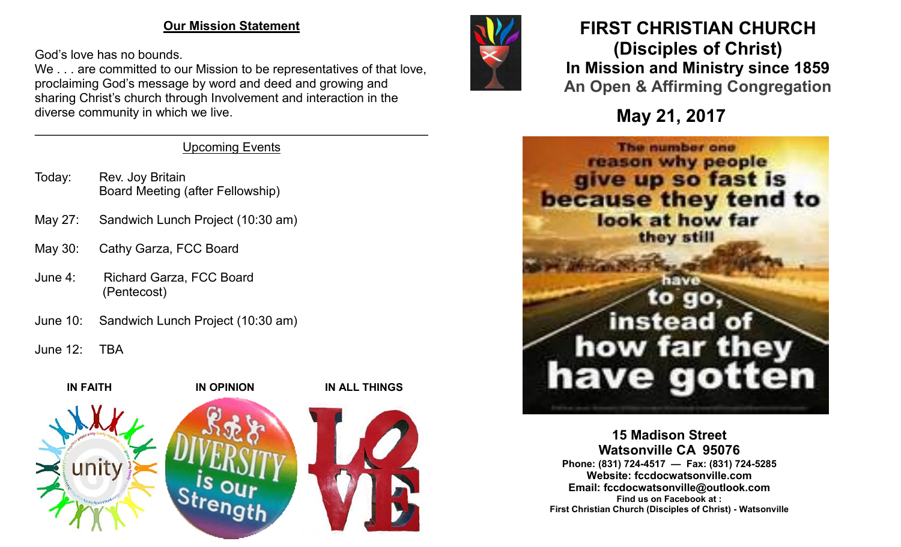### **Our Mission Statement**

God's love has no bounds.

We . . . are committed to our Mission to be representatives of that love, proclaiming God's message by word and deed and growing and sharing Christ's church through Involvement and interaction in the diverse community in which we live.

#### $\mathcal{L}_\mathcal{L} = \mathcal{L}_\mathcal{L} = \mathcal{L}_\mathcal{L} = \mathcal{L}_\mathcal{L} = \mathcal{L}_\mathcal{L} = \mathcal{L}_\mathcal{L} = \mathcal{L}_\mathcal{L} = \mathcal{L}_\mathcal{L} = \mathcal{L}_\mathcal{L} = \mathcal{L}_\mathcal{L} = \mathcal{L}_\mathcal{L} = \mathcal{L}_\mathcal{L} = \mathcal{L}_\mathcal{L} = \mathcal{L}_\mathcal{L} = \mathcal{L}_\mathcal{L} = \mathcal{L}_\mathcal{L} = \mathcal{L}_\mathcal{L}$ Upcoming Events

- Today: Rev. Joy Britain Board Meeting (after Fellowship)
- May 27: Sandwich Lunch Project (10:30 am)
- May 30: Cathy Garza, FCC Board
- June 4: Richard Garza, FCC Board (Pentecost)
- June 10: Sandwich Lunch Project (10:30 am)
- June 12: TBA





# **FIRST CHRISTIAN CHURCH (Disciples of Christ) In Mission and Ministry since 1859 An Open & Affirming Congregation**

**May 21, 2017**



**15 Madison Street Watsonville CA 95076 Phone: (831) 724-4517 — Fax: (831) 724-5285 Website: fccdocwatsonville.com Email: fccdocwatsonville@outlook.com Find us on Facebook at : First Christian Church (Disciples of Christ) - Watsonville**